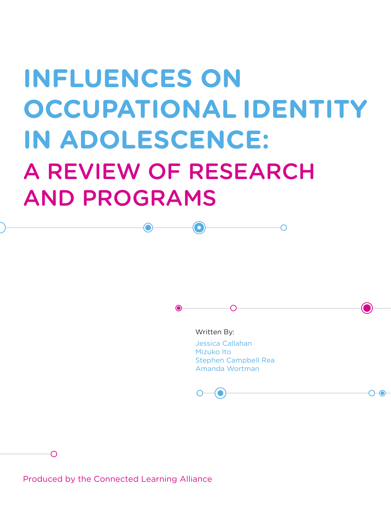# **INFLUENCES ON OCCUPATIONAL IDENTITY IN ADOLESCENCE:** A REVIEW OF RESEARCH AND PROGRAMS

 $\left( \bullet \right)$ 

 $\bullet$ 

Written By:

Jessica Callahan Mizuko Ito Stephen Campbell Rea Amanda Wortman

റ-ര

∩

∩

Produced by the Connected Learning Alliance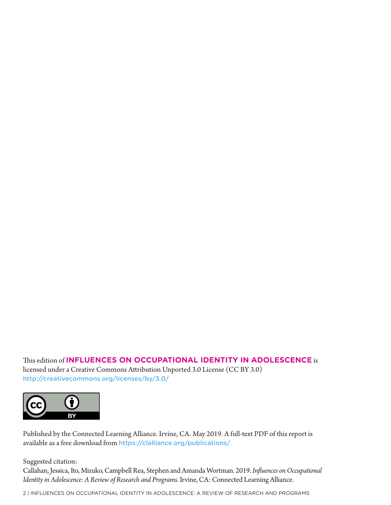This edition of **INFLUENCES ON OCCUPATIONAL IDENTITY IN ADOLESCENCE** is licensed under a Creative Commons Attribution Unported 3.0 License (CC BY 3.0) http://creativecommons.org/licenses/by/3.0/



Published by the Connected Learning Alliance. Irvine, CA. May 2019. A full-text PDF of this report is available as a free download from https://clalliance.org/publications/

Suggested citation:

Callahan, Jessica, Ito, Mizuko, Campbell Rea, Stephen and Amanda Wortman. 2019. *Influences on Occupational*  Identity in Adolescence: A Review of Research and Programs. Irvine, CA: Connected Learning Alliance.

2 | INFLUENCES ON OCCUPATIONAL IDENTITY IN ADOLESCENCE: A REVIEW OF RESEARCH AND PROGRAMS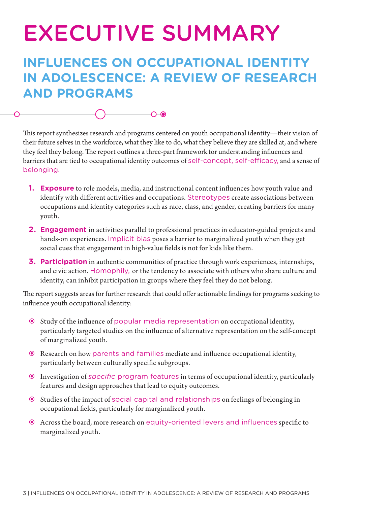## EXECUTIVE SUMMARY

## **INFLUENCES ON OCCUPATIONAL IDENTITY IN ADOLESCENCE: A REVIEW OF RESEARCH AND PROGRAMS**

 $\bigcirc$   $\bigcirc$ 

This report synthesizes research and programs centered on youth occupational identity—their vision of their future selves in the workforce, what they like to do, what they believe they are skilled at, and where they feel they belong. The report outlines a three-part framework for understanding influences and barriers that are tied to occupational identity outcomes of self-concept, self-efficacy, and a sense of belonging.

- **1. Exposure** to role models, media, and instructional content influences how youth value and identify with different activities and occupations. Stereotypes create associations between occupations and identity categories such as race, class, and gender, creating barriers for many youth.
- **2. Engagement** in activities parallel to professional practices in educator-guided projects and hands-on experiences. Implicit bias poses a barrier to marginalized youth when they get social cues that engagement in high-value fields is not for kids like them.
- **3. Participation** in authentic communities of practice through work experiences, internships, and civic action. Homophily, or the tendency to associate with others who share culture and identity, can inhibit participation in groups where they feel they do not belong.

The report suggests areas for further research that could offer actionable findings for programs seeking to influence youth occupational identity:

- Study of the influence of popular media representation on occupational identity, particularly targeted studies on the influence of alternative representation on the self-concept of marginalized youth.
- Research on how parents and families mediate and influence occupational identity, particularly between culturally specific subgroups.
- Investigation of *specific* program features in terms of occupational identity, particularly features and design approaches that lead to equity outcomes.
- Studies of the impact of social capital and relationships on feelings of belonging in occupational fields, particularly for marginalized youth.
- Across the board, more research on equity-oriented levers and influences specific to marginalized youth.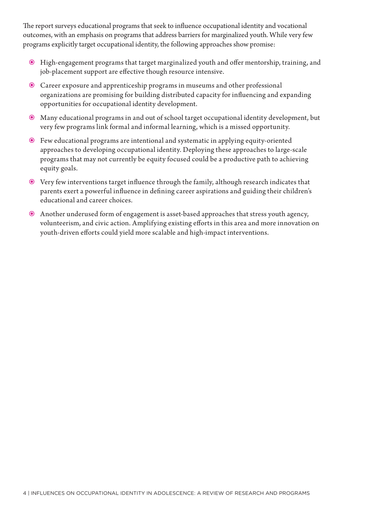The report surveys educational programs that seek to influence occupational identity and vocational outcomes, with an emphasis on programs that address barriers for marginalized youth. While very few programs explicitly target occupational identity, the following approaches show promise:

- High-engagement programs that target marginalized youth and offer mentorship, training, and job-placement support are effective though resource intensive.
- Career exposure and apprenticeship programs in museums and other professional organizations are promising for building distributed capacity for influencing and expanding opportunities for occupational identity development.
- Many educational programs in and out of school target occupational identity development, but very few programs link formal and informal learning, which is a missed opportunity.
- Few educational programs are intentional and systematic in applying equity-oriented approaches to developing occupational identity. Deploying these approaches to large-scale programs that may not currently be equity focused could be a productive path to achieving equity goals.
- Very few interventions target influence through the family, although research indicates that parents exert a powerful influence in defining career aspirations and guiding their children's educational and career choices.
- Another underused form of engagement is asset-based approaches that stress youth agency, volunteerism, and civic action. Amplifying existing efforts in this area and more innovation on youth-driven efforts could yield more scalable and high-impact interventions.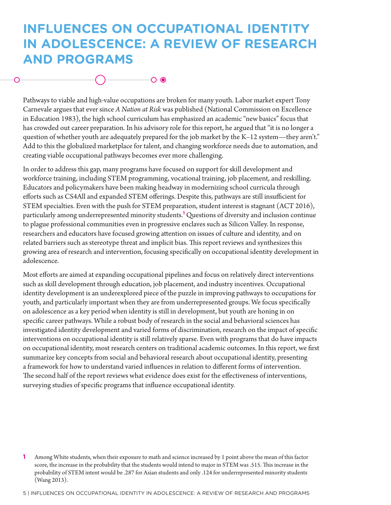## **INFLUENCES ON OCCUPATIONAL IDENTITY IN ADOLESCENCE: A REVIEW OF RESEARCH AND PROGRAMS**

Pathways to viable and high-value occupations are broken for many youth. Labor market expert Tony Carnevale argues that ever since *A Nation at Risk* was published (National Commission on Excellence in Education 1983), the high school curriculum has emphasized an academic "new basics" focus that has crowded out career preparation. In his advisory role for this report, he argued that "it is no longer a question of whether youth are adequately prepared for the job market by the K–12 system—they aren't." Add to this the globalized marketplace for talent, and changing workforce needs due to automation, and creating viable occupational pathways becomes ever more challenging.

In order to address this gap, many programs have focused on support for skill development and workforce training, including STEM programming, vocational training, job placement, and reskilling. Educators and policymakers have been making headway in modernizing school curricula through efforts such as CS4All and expanded STEM offerings. Despite this, pathways are still insufficient for STEM specialties. Even with the push for STEM preparation, student interest is stagnant (ACT 2016), particularly among underrepresented minority students.**<sup>1</sup>** Questions of diversity and inclusion continue to plague professional communities even in progressive enclaves such as Silicon Valley. In response, researchers and educators have focused growing attention on issues of culture and identity, and on related barriers such as stereotype threat and implicit bias. This report reviews and synthesizes this growing area of research and intervention, focusing specifically on occupational identity development in adolescence.

Most efforts are aimed at expanding occupational pipelines and focus on relatively direct interventions such as skill development through education, job placement, and industry incentives. Occupational identity development is an underexplored piece of the puzzle in improving pathways to occupations for youth, and particularly important when they are from underrepresented groups. We focus specifically on adolescence as a key period when identity is still in development, but youth are honing in on specific career pathways. While a robust body of research in the social and behavioral sciences has investigated identity development and varied forms of discrimination, research on the impact of specific interventions on occupational identity is still relatively sparse. Even with programs that do have impacts on occupational identity, most research centers on traditional academic outcomes. In this report, we first summarize key concepts from social and behavioral research about occupational identity, presenting a framework for how to understand varied influences in relation to different forms of intervention. The second half of the report reviews what evidence does exist for the effectiveness of interventions, surveying studies of specific programs that influence occupational identity.

5 | INFLUENCES ON OCCUPATIONAL IDENTITY IN ADOLESCENCE: A REVIEW OF RESEARCH AND PROGRAMS

**<sup>1</sup>** Among White students, when their exposure to math and science increased by 1 point above the mean of this factor score, the increase in the probability that the students would intend to major in STEM was .515. This increase in the probability of STEM intent would be .287 for Asian students and only .124 for underrepresented minority students (Wang 2013).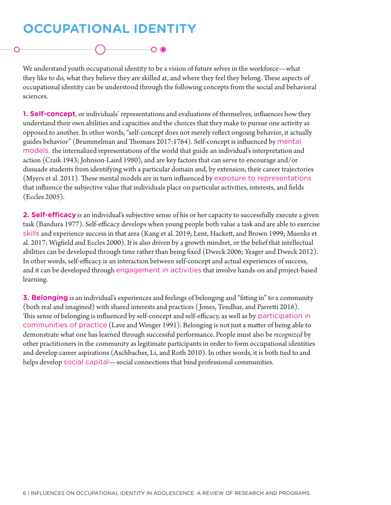## **OCCUPATIONAL IDENTITY**

We understand youth occupational identity to be a vision of future selves in the workforce—what they like to do, what they believe they are skilled at, and where they feel they belong. These aspects of occupational identity can be understood through the following concepts from the social and behavioral sciences.

∩⊣∩

**1. Self-concept**, or individuals' representations and evaluations of themselves, influences how they understand their own abilities and capacities and the choices that they make to pursue one activity as opposed to another. In other words, "self-concept does not merely reflect ongoing behavior, it actually guides behavior" (Brummelman and Thomaes 2017:1764). Self-concept is influenced by mental models, the internalized representations of the world that guide an individual's interpretation and action (Craik 1943; Johnson-Laird 1980), and are key factors that can serve to encourage and/or dissuade students from identifying with a particular domain and, by extension, their career trajectories (Myers et al. 2011). These mental models are in turn influenced by exposure to representations that influence the subjective value that individuals place on particular activities, interests, and fields (Eccles 2005).

**2. Self-efficacy** is an individual's subjective sense of his or her capacity to successfully execute a given task (Bandura 1977). Self-efficacy develops when young people both value a task and are able to exercise skills and experience success in that area (Kang et al. 2019; Lent, Hackett, and Brown 1999; Muenks et al. 2017; Wigfield and Eccles 2000). It is also driven by a growth mindset, or the belief that intellectual abilities can be developed through time rather than being fixed (Dweck 2006; Yeager and Dweck 2012). In other words, self-efficacy is an interaction between self-concept and actual experiences of success, and it can be developed through engagement in activities that involve hands-on and project-based learning.

**3. Belonging** is an individual's experiences and feelings of belonging and "fitting in" to a community (both real and imagined) with shared interests and practices ( Jones, Tendhar, and Parretti 2016). This sense of belonging is influenced by self-concept and self-efficacy, as well as by participation in communities of practice (Lave and Wenger 1991). Belonging is not just a matter of being able to demonstrate what one has learned through successful performance. People must also be *recognized* by other practitioners in the community as legitimate participants in order to form occupational identities and develop career aspirations (Aschbacher, Li, and Roth 2010). In other words, it is both tied to and helps develop social capital—social connections that bind professional communities.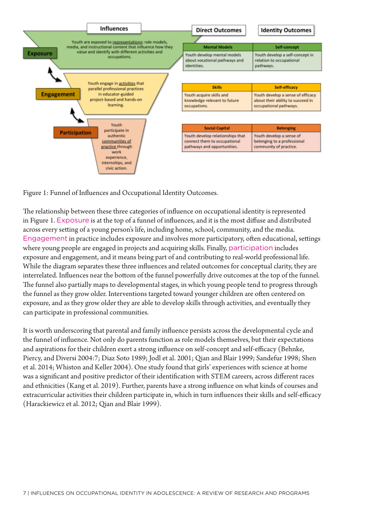

Figure 1: Funnel of Influences and Occupational Identity Outcomes.

The relationship between these three categories of influence on occupational identity is represented in Figure 1. Exposure is at the top of a funnel of influences, and it is the most diffuse and distributed across every setting of a young person's life, including home, school, community, and the media. Engagement in practice includes exposure and involves more participatory, often educational, settings where young people are engaged in projects and acquiring skills. Finally, participation includes exposure and engagement, and it means being part of and contributing to real-world professional life. While the diagram separates these three influences and related outcomes for conceptual clarity, they are interrelated. Influences near the bottom of the funnel powerfully drive outcomes at the top of the funnel. The funnel also partially maps to developmental stages, in which young people tend to progress through the funnel as they grow older. Interventions targeted toward younger children are often centered on exposure, and as they grow older they are able to develop skills through activities, and eventually they can participate in professional communities.

It is worth underscoring that parental and family influence persists across the developmental cycle and the funnel of influence. Not only do parents function as role models themselves, but their expectations and aspirations for their children exert a strong influence on self-concept and self-efficacy (Behnke, Piercy, and Diversi 2004:7; Diaz Soto 1989; Jodl et al. 2001; Qian and Blair 1999; Sandefur 1998; Shen et al. 2014; Whiston and Keller 2004). One study found that girls' experiences with science at home was a significant and positive predictor of their identification with STEM careers, across different races and ethnicities (Kang et al. 2019). Further, parents have a strong influence on what kinds of courses and extracurricular activities their children participate in, which in turn influences their skills and self-efficacy (Harackiewicz et al. 2012; Qian and Blair 1999).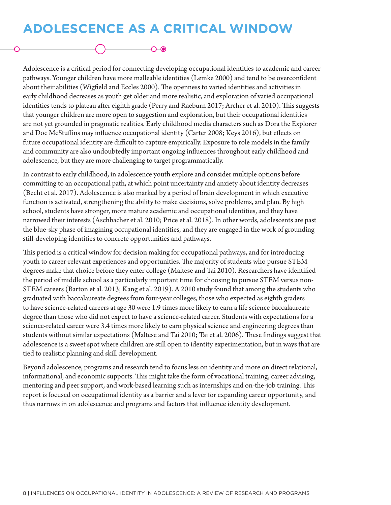## **ADOLESCENCE AS A CRITICAL WINDOW**

∩⊸⊚

Adolescence is a critical period for connecting developing occupational identities to academic and career pathways. Younger children have more malleable identities (Lemke 2000) and tend to be overconfident about their abilities (Wigfield and Eccles 2000). The openness to varied identities and activities in early childhood decreases as youth get older and more realistic, and exploration of varied occupational identities tends to plateau after eighth grade (Perry and Raeburn 2017; Archer et al. 2010). This suggests that younger children are more open to suggestion and exploration, but their occupational identities are not yet grounded in pragmatic realities. Early childhood media characters such as Dora the Explorer and Doc McStuffins may influence occupational identity (Carter 2008; Keys 2016), but effects on future occupational identity are difficult to capture empirically. Exposure to role models in the family and community are also undoubtedly important ongoing influences throughout early childhood and adolescence, but they are more challenging to target programmatically.

In contrast to early childhood, in adolescence youth explore and consider multiple options before committing to an occupational path, at which point uncertainty and anxiety about identity decreases (Becht et al. 2017). Adolescence is also marked by a period of brain development in which executive function is activated, strengthening the ability to make decisions, solve problems, and plan. By high school, students have stronger, more mature academic and occupational identities, and they have narrowed their interests (Aschbacher et al. 2010; Price et al. 2018). In other words, adolescents are past the blue-sky phase of imagining occupational identities, and they are engaged in the work of grounding still-developing identities to concrete opportunities and pathways.

This period is a critical window for decision making for occupational pathways, and for introducing youth to career-relevant experiences and opportunities. The majority of students who pursue STEM degrees make that choice before they enter college (Maltese and Tai 2010). Researchers have identified the period of middle school as a particularly important time for choosing to pursue STEM versus non-STEM careers (Barton et al. 2013; Kang et al. 2019). A 2010 study found that among the students who graduated with baccalaureate degrees from four-year colleges, those who expected as eighth graders to have science-related careers at age 30 were 1.9 times more likely to earn a life science baccalaureate degree than those who did not expect to have a science-related career. Students with expectations for a science-related career were 3.4 times more likely to earn physical science and engineering degrees than students without similar expectations (Maltese and Tai 2010; Tai et al. 2006). These findings suggest that adolescence is a sweet spot where children are still open to identity experimentation, but in ways that are tied to realistic planning and skill development.

Beyond adolescence, programs and research tend to focus less on identity and more on direct relational, informational, and economic supports. This might take the form of vocational training, career advising, mentoring and peer support, and work-based learning such as internships and on-the-job training. This report is focused on occupational identity as a barrier and a lever for expanding career opportunity, and thus narrows in on adolescence and programs and factors that influence identity development.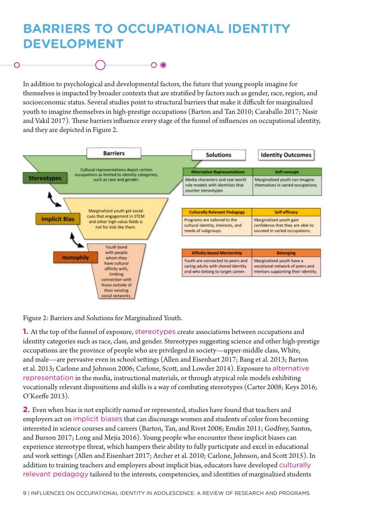## **BARRIERS TO OCCUPATIONAL IDENTITY DEVELOPMENT**



In addition to psychological and developmental factors, the future that young people imagine for themselves is impacted by broader contexts that are stratified by factors such as gender, race, region, and socioeconomic status. Several studies point to structural barriers that make it difficult for marginalized youth to imagine themselves in high-prestige occupations (Barton and Tan 2010; Caraballo 2017; Nasir and Vakil 2017). These barriers influence every stage of the funnel of influences on occupational identity, and they are depicted in Figure 2.



Figure 2: Barriers and Solutions for Marginalized Youth.

**1.** At the top of the funnel of exposure, stereotypes create associations between occupations and identity categories such as race, class, and gender. Stereotypes suggesting science and other high-prestige occupations are the province of people who are privileged in society—upper-middle class, White, and male—are pervasive even in school settings (Allen and Eisenhart 2017; Bang et al. 2013; Barton et al. 2013; Carlone and Johnson 2006; Carlone, Scott, and Lowder 2014). Exposure to alternative representation in the media, instructional materials, or through atypical role models exhibiting vocationally relevant dispositions and skills is a way of combating stereotypes (Carter 2008; Keys 2016; O'Keeffe 2013).

**2.** Even when bias is not explicitly named or represented, studies have found that teachers and employers act on implicit biases that can discourage women and students of color from becoming interested in science courses and careers (Barton, Tan, and Rivet 2008; Emdin 2011; Godfrey, Santos, and Burson 2017; Long and Mejia 2016). Young people who encounter these implicit biases can experience stereotype threat, which hampers their ability to fully participate and excel in educational and work settings (Allen and Eisenhart 2017; Archer et al. 2010; Carlone, Johnson, and Scott 2015). In addition to training teachers and employers about implicit bias, educators have developed culturally relevant pedagogy tailored to the interests, competencies, and identities of marginalized students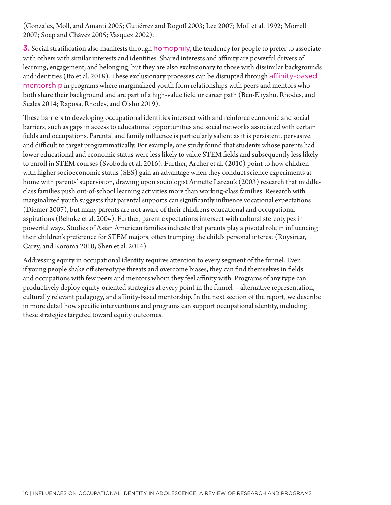(Gonzalez, Moll, and Amanti 2005; Gutiérrez and Rogoff 2003; Lee 2007; Moll et al. 1992; Morrell 2007; Soep and Chávez 2005; Vasquez 2002).

**3.** Social stratification also manifests through homophily, the tendency for people to prefer to associate with others with similar interests and identities. Shared interests and affinity are powerful drivers of learning, engagement, and belonging, but they are also exclusionary to those with dissimilar backgrounds and identities (Ito et al. 2018). These exclusionary processes can be disrupted through affinity-based mentorship in programs where marginalized youth form relationships with peers and mentors who both share their background and are part of a high-value field or career path (Ben-Eliyahu, Rhodes, and Scales 2014; Raposa, Rhodes, and Olsho 2019).

These barriers to developing occupational identities intersect with and reinforce economic and social barriers, such as gaps in access to educational opportunities and social networks associated with certain fields and occupations. Parental and family influence is particularly salient as it is persistent, pervasive, and difficult to target programmatically. For example, one study found that students whose parents had lower educational and economic status were less likely to value STEM fields and subsequently less likely to enroll in STEM courses (Svoboda et al. 2016). Further, Archer et al. (2010) point to how children with higher socioeconomic status (SES) gain an advantage when they conduct science experiments at home with parents' supervision, drawing upon sociologist Annette Lareau's (2003) research that middleclass families push out-of-school learning activities more than working-class families. Research with marginalized youth suggests that parental supports can significantly influence vocational expectations (Diemer 2007), but many parents are not aware of their children's educational and occupational aspirations (Behnke et al. 2004). Further, parent expectations intersect with cultural stereotypes in powerful ways. Studies of Asian American families indicate that parents play a pivotal role in influencing their children's preference for STEM majors, often trumping the child's personal interest (Roysircar, Carey, and Koroma 2010; Shen et al. 2014).

Addressing equity in occupational identity requires attention to every segment of the funnel. Even if young people shake off stereotype threats and overcome biases, they can find themselves in fields and occupations with few peers and mentors whom they feel affinity with. Programs of any type can productively deploy equity-oriented strategies at every point in the funnel—alternative representation, culturally relevant pedagogy, and affinity-based mentorship. In the next section of the report, we describe in more detail how specific interventions and programs can support occupational identity, including these strategies targeted toward equity outcomes.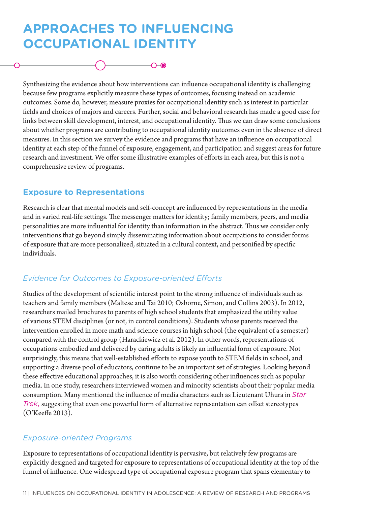## **APPROACHES TO INFLUENCING OCCUPATIONAL IDENTITY**

Synthesizing the evidence about how interventions can influence occupational identity is challenging because few programs explicitly measure these types of outcomes, focusing instead on academic outcomes. Some do, however, measure proxies for occupational identity such as interest in particular fields and choices of majors and careers. Further, social and behavioral research has made a good case for links between skill development, interest, and occupational identity. Thus we can draw some conclusions about whether programs are contributing to occupational identity outcomes even in the absence of direct measures. In this section we survey the evidence and programs that have an influence on occupational identity at each step of the funnel of exposure, engagement, and participation and suggest areas for future research and investment. We offer some illustrative examples of efforts in each area, but this is not a comprehensive review of programs.

 $\bigcirc$   $\bigcirc$ 

#### **Exposure to Representations**

Research is clear that mental models and self-concept are influenced by representations in the media and in varied real-life settings. The messenger matters for identity; family members, peers, and media personalities are more influential for identity than information in the abstract. Thus we consider only interventions that go beyond simply disseminating information about occupations to consider forms of exposure that are more personalized, situated in a cultural context, and personified by specific individuals.

#### *Evidence for Outcomes to Exposure-oriented Efforts*

Studies of the development of scientific interest point to the strong influence of individuals such as teachers and family members (Maltese and Tai 2010; Osborne, Simon, and Collins 2003). In 2012, researchers mailed brochures to parents of high school students that emphasized the utility value of various STEM disciplines (or not, in control conditions). Students whose parents received the intervention enrolled in more math and science courses in high school (the equivalent of a semester) compared with the control group (Harackiewicz et al. 2012). In other words, representations of occupations embodied and delivered by caring adults is likely an influential form of exposure. Not surprisingly, this means that well-established efforts to expose youth to STEM fields in school, and supporting a diverse pool of educators, continue to be an important set of strategies. Looking beyond these effective educational approaches, it is also worth considering other influences such as popular media. In one study, researchers interviewed women and minority scientists about their popular media consumption. Many mentioned the influence of media characters such as Lieutenant Uhura in *Star Trek*, suggesting that even one powerful form of alternative representation can offset stereotypes (O'Keeffe 2013).

#### *Exposure-oriented Programs*

Exposure to representations of occupational identity is pervasive, but relatively few programs are explicitly designed and targeted for exposure to representations of occupational identity at the top of the funnel of influence. One widespread type of occupational exposure program that spans elementary to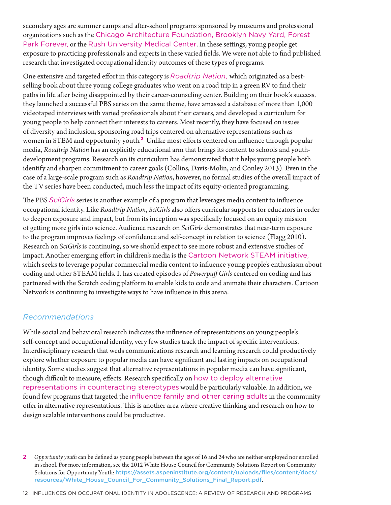secondary ages are summer camps and after-school programs sponsored by museums and professional organizations such as the Chicago Architecture Foundation, Brooklyn Navy Yard, Forest Park Forever, or the Rush University Medical Center. In these settings, young people get exposure to practicing professionals and experts in these varied fields. We were not able to find published research that investigated occupational identity outcomes of these types of programs.

One extensive and targeted effort in this category is *Roadtrip Nation*, which originated as a bestselling book about three young college graduates who went on a road trip in a green RV to find their paths in life after being disappointed by their career-counseling center. Building on their book's success, they launched a successful PBS series on the same theme, have amassed a database of more than 1,000 videotaped interviews with varied professionals about their careers, and developed a curriculum for young people to help connect their interests to careers. Most recently, they have focused on issues of diversity and inclusion, sponsoring road trips centered on alternative representations such as women in STEM and opportunity youth.**<sup>1</sup> <sup>2</sup>** Unlike most efforts centered on influence through popular media, *Roadtrip Nation* has an explicitly educational arm that brings its content to schools and youthdevelopment programs. Research on its curriculum has demonstrated that it helps young people both identify and sharpen commitment to career goals (Collins, Davis-Molin, and Conley 2013). Even in the case of a large-scale program such as *Roadtrip Nation*, however, no formal studies of the overall impact of the TV series have been conducted, much less the impact of its equity-oriented programming.

The PBS *SciGirls* series is another example of a program that leverages media content to influence occupational identity. Like *Roadtrip Nation*, *SciGirls* also offers curricular supports for educators in order to deepen exposure and impact, but from its inception was specifically focused on an equity mission of getting more girls into science. Audience research on *SciGirls* demonstrates that near-term exposure to the program improves feelings of confidence and self-concept in relation to science (Flagg 2010). Research on *SciGirls* is continuing, so we should expect to see more robust and extensive studies of impact. Another emerging effort in children's media is the Cartoon Network STEAM initiative, which seeks to leverage popular commercial media content to influence young people's enthusiasm about coding and other STEAM fields. It has created episodes of *Powerpuff Girls* centered on coding and has partnered with the Scratch coding platform to enable kids to code and animate their characters. Cartoon Network is continuing to investigate ways to have influence in this arena.

#### *Recommendations*

While social and behavioral research indicates the influence of representations on young people's self-concept and occupational identity, very few studies track the impact of specific interventions. Interdisciplinary research that weds communications research and learning research could productively explore whether exposure to popular media can have significant and lasting impacts on occupational identity. Some studies suggest that alternative representations in popular media can have significant, though difficult to measure, effects. Research specifically on how to deploy alternative representations in counteracting stereotypes would be particularly valuable. In addition, we found few programs that targeted the influence family and other caring adults in the community offer in alternative representations. This is another area where creative thinking and research on how to design scalable interventions could be productive.

2 *Opportunity youth* can be defined as young people between the ages of 16 and 24 who are neither employed nor enrolled in school. For more information, see the 2012 White House Council for Community Solutions Report on Community Solutions for Opportunity Youth: https://assets.aspeninstitute.org/content/uploads/files/content/docs/ resources/White\_House\_Council\_For\_Community\_Solutions\_Final\_Report.pdf.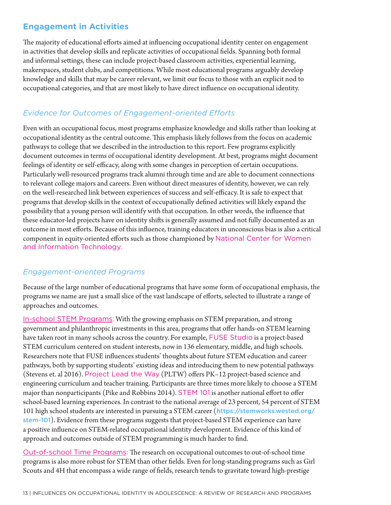#### **Engagement in Activities**

The majority of educational efforts aimed at influencing occupational identity center on engagement in activities that develop skills and replicate activities of occupational fields. Spanning both formal and informal settings, these can include project-based classroom activities, experiential learning, makerspaces, student clubs, and competitions. While most educational programs arguably develop knowledge and skills that may be career relevant, we limit our focus to those with an explicit nod to occupational categories, and that are most likely to have direct influence on occupational identity.

#### *Evidence for Outcomes of Engagement-oriented Efforts*

Even with an occupational focus, most programs emphasize knowledge and skills rather than looking at occupational identity as the central outcome. This emphasis likely follows from the focus on academic pathways to college that we described in the introduction to this report. Few programs explicitly document outcomes in terms of occupational identity development. At best, programs might document feelings of identity or self-efficacy, along with some changes in perception of certain occupations. Particularly well-resourced programs track alumni through time and are able to document connections to relevant college majors and careers. Even without direct measures of identity, however, we can rely on the well-researched link between experiences of success and self-efficacy. It is safe to expect that programs that develop skills in the context of occupationally defined activities will likely expand the possibility that a young person will identify with that occupation. In other words, the influence that these educator-led projects have on identity shifts is generally assumed and not fully documented as an outcome in most efforts. Because of this influence, training educators in unconscious bias is also a critical component in equity-oriented efforts such as those championed by National Center for Women and Information Technology.

#### *Engagement-oriented Programs*

Because of the large number of educational programs that have some form of occupational emphasis, the programs we name are just a small slice of the vast landscape of efforts, selected to illustrate a range of approaches and outcomes.

In-school STEM Programs: With the growing emphasis on STEM preparation, and strong government and philanthropic investments in this area, programs that offer hands-on STEM learning have taken root in many schools across the country. For example, FUSE Studio is a project-based STEM curriculum centered on student interests, now in 136 elementary, middle, and high schools. Researchers note that FUSE influences students' thoughts about future STEM education and career pathways, both by supporting students' existing ideas and introducing them to new potential pathways (Stevens et. al 2016). Project Lead the Way (PLTW) offers PK–12 project-based science and engineering curriculum and teacher training. Participants are three times more likely to choose a STEM major than nonparticipants (Pike and Robbins 2014). STEM 101 is another national effort to offer school-based learning experiences. In contrast to the national average of 23 percent, 54 percent of STEM 101 high school students are interested in pursuing a STEM career (https://stemworks.wested.org/ stem-101). Evidence from these programs suggests that project-based STEM experience can have a positive influence on STEM-related occupational identity development. Evidence of this kind of approach and outcomes outside of STEM programming is much harder to find.

Out-of-school Time Programs: The research on occupational outcomes to out-of-school time programs is also more robust for STEM than other fields. Even for long-standing programs such as Girl Scouts and 4H that encompass a wide range of fields, research tends to gravitate toward high-prestige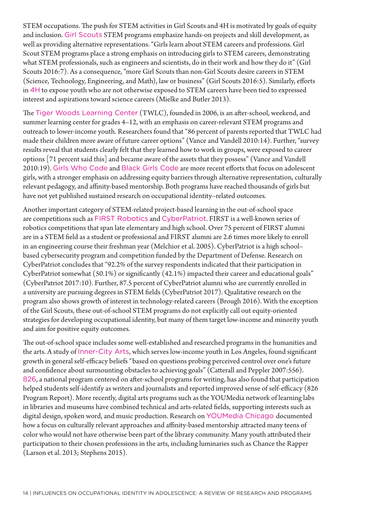STEM occupations. The push for STEM activities in Girl Scouts and 4H is motivated by goals of equity and inclusion. Girl Scouts STEM programs emphasize hands-on projects and skill development, as well as providing alternative representations. "Girls learn about STEM careers and professions. Girl Scout STEM programs place a strong emphasis on introducing girls to STEM careers, demonstrating what STEM professionals, such as engineers and scientists, do in their work and how they do it" (Girl Scouts 2016:7). As a consequence, "more Girl Scouts than non-Girl Scouts desire careers in STEM (Science, Technology, Engineering, and Math), law or business" (Girl Scouts 2016:5). Similarly, efforts in 4H to expose youth who are not otherwise exposed to STEM careers have been tied to expressed interest and aspirations toward science careers (Mielke and Butler 2013).

The Tiger Woods Learning Center (TWLC), founded in 2006, is an after-school, weekend, and summer learning center for grades 4–12, with an emphasis on career-relevant STEM programs and outreach to lower-income youth. Researchers found that "86 percent of parents reported that TWLC had made their children more aware of future career options" (Vance and Vandell 2010:14). Further, "survey results reveal that students clearly felt that they learned how to work in groups, were exposed to career options [71 percent said this] and became aware of the assets that they possess" (Vance and Vandell 2010:19). Girls Who Code and Black Girls Code are more recent efforts that focus on adolescent girls, with a stronger emphasis on addressing equity barriers through alternative representation, culturally relevant pedagogy, and affinity-based mentorship. Both programs have reached thousands of girls but have not yet published sustained research on occupational identity–related outcomes.

Another important category of STEM-related project-based learning in the out-of-school space are competitions such as FIRST Robotics and CyberPatriot. FIRST is a well-known series of robotics competitions that span late elementary and high school. Over 75 percent of FIRST alumni are in a STEM field as a student or professional and FIRST alumni are 2.6 times more likely to enroll in an engineering course their freshman year (Melchior et al. 2005). CyberPatriot is a high school– based cybersecurity program and competition funded by the Department of Defense. Research on CyberPatriot concludes that "92.2% of the survey respondents indicated that their participation in CyberPatriot somewhat (50.1%) or significantly (42.1%) impacted their career and educational goals" (CyberPatriot 2017:10). Further, 87.5 percent of CyberPatriot alumni who are currently enrolled in a university are pursuing degrees in STEM fields (CyberPatriot 2017). Qualitative research on the program also shows growth of interest in technology-related careers (Brough 2016). With the exception of the Girl Scouts, these out-of-school STEM programs do not explicitly call out equity-oriented strategies for developing occupational identity, but many of them target low-income and minority youth and aim for positive equity outcomes.

The out-of-school space includes some well-established and researched programs in the humanities and the arts. A study of Inner-City Arts, which serves low-income youth in Los Angeles, found significant growth in general self-efficacy beliefs "based on questions probing perceived control over one's future and confidence about surmounting obstacles to achieving goals" (Catterall and Peppler 2007:556). 826, a national program centered on after-school programs for writing, has also found that participation helped students self-identify as writers and journalists and reported improved sense of self-efficacy (826 Program Report). More recently, digital arts programs such as the YOUMedia network of learning labs in libraries and museums have combined technical and arts-related fields, supporting interests such as digital design, spoken word, and music production. Research on YOUMedia Chicago documented how a focus on culturally relevant approaches and affinity-based mentorship attracted many teens of color who would not have otherwise been part of the library community. Many youth attributed their participation to their chosen professions in the arts, including luminaries such as Chance the Rapper (Larson et al. 2013; Stephens 2015).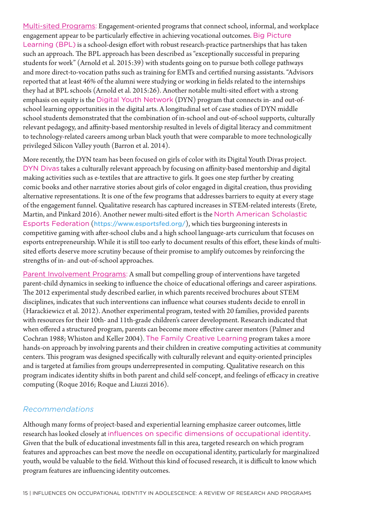Multi-sited Programs: Engagement-oriented programs that connect school, informal, and workplace engagement appear to be particularly effective in achieving vocational outcomes. Big Picture Learning (BPL) is a school-design effort with robust research-practice partnerships that has taken such an approach. The BPL approach has been described as "exceptionally successful in preparing students for work" (Arnold et al. 2015:39) with students going on to pursue both college pathways and more direct-to-vocation paths such as training for EMTs and certified nursing assistants. "Advisors reported that at least 46% of the alumni were studying or working in fields related to the internships they had at BPL schools (Arnold et al. 2015:26). Another notable multi-sited effort with a strong emphasis on equity is the Digital Youth Network (DYN) program that connects in- and out-ofschool learning opportunities in the digital arts. A longitudinal set of case studies of DYN middle school students demonstrated that the combination of in-school and out-of-school supports, culturally relevant pedagogy, and affinity-based mentorship resulted in levels of digital literacy and commitment to technology-related careers among urban black youth that were comparable to more technologically privileged Silicon Valley youth (Barron et al. 2014).

More recently, the DYN team has been focused on girls of color with its Digital Youth Divas project. DYN Divas takes a culturally relevant approach by focusing on affinity-based mentorship and digital making activities such as e-textiles that are attractive to girls. It goes one step further by creating comic books and other narrative stories about girls of color engaged in digital creation, thus providing alternative representations. It is one of the few programs that addresses barriers to equity at every stage of the engagement funnel. Qualitative research has captured increases in STEM-related interests (Erete, Martin, and Pinkard 2016). Another newer multi-sited effort is the North American Scholastic Esports Federation (https://www.esportsfed.org/), which ties burgeoning interests in competitive gaming with after-school clubs and a high school language-arts curriculum that focuses on esports entrepreneurship. While it is still too early to document results of this effort, these kinds of multisited efforts deserve more scrutiny because of their promise to amplify outcomes by reinforcing the strengths of in- and out-of-school approaches.

Parent Involvement Programs: A small but compelling group of interventions have targeted parent-child dynamics in seeking to influence the choice of educational offerings and career aspirations. The 2012 experimental study described earlier, in which parents received brochures about STEM disciplines, indicates that such interventions can influence what courses students decide to enroll in (Harackiewicz et al. 2012). Another experimental program, tested with 20 families, provided parents with resources for their 10th- and 11th-grade children's career development. Research indicated that when offered a structured program, parents can become more effective career mentors (Palmer and Cochran 1988; Whiston and Keller 2004). The Family Creative Learning program takes a more hands-on approach by involving parents and their children in creative computing activities at community centers. This program was designed specifically with culturally relevant and equity-oriented principles and is targeted at families from groups underrepresented in computing. Qualitative research on this program indicates identity shifts in both parent and child self-concept, and feelings of efficacy in creative computing (Roque 2016; Roque and Liuzzi 2016).

#### *Recommendations*

Although many forms of project-based and experiential learning emphasize career outcomes, little research has looked closely at influences on specific dimensions of occupational identity. Given that the bulk of educational investments fall in this area, targeted research on which program features and approaches can best move the needle on occupational identity, particularly for marginalized youth, would be valuable to the field. Without this kind of focused research, it is difficult to know which program features are influencing identity outcomes.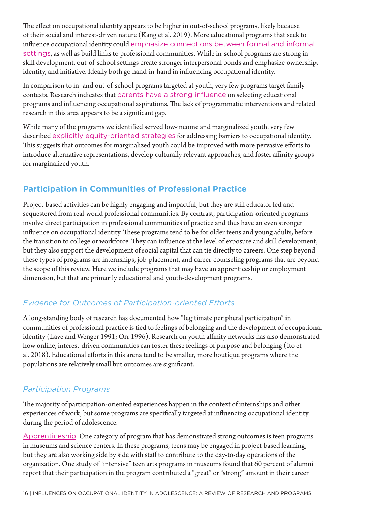The effect on occupational identity appears to be higher in out-of-school programs, likely because of their social and interest-driven nature (Kang et al. 2019). More educational programs that seek to influence occupational identity could emphasize connections between formal and informal settings, as well as build links to professional communities. While in-school programs are strong in skill development, out-of-school settings create stronger interpersonal bonds and emphasize ownership, identity, and initiative. Ideally both go hand-in-hand in influencing occupational identity.

In comparison to in- and out-of-school programs targeted at youth, very few programs target family contexts. Research indicates that parents have a strong influence on selecting educational programs and influencing occupational aspirations. The lack of programmatic interventions and related research in this area appears to be a significant gap.

While many of the programs we identified served low-income and marginalized youth, very few described explicitly equity-oriented strategies for addressing barriers to occupational identity. This suggests that outcomes for marginalized youth could be improved with more pervasive efforts to introduce alternative representations, develop culturally relevant approaches, and foster affinity groups for marginalized youth.

#### **Participation in Communities of Professional Practice**

Project-based activities can be highly engaging and impactful, but they are still educator led and sequestered from real-world professional communities. By contrast, participation-oriented programs involve direct participation in professional communities of practice and thus have an even stronger influence on occupational identity. These programs tend to be for older teens and young adults, before the transition to college or workforce. They can influence at the level of exposure and skill development, but they also support the development of social capital that can tie directly to careers. One step beyond these types of programs are internships, job-placement, and career-counseling programs that are beyond the scope of this review. Here we include programs that may have an apprenticeship or employment dimension, but that are primarily educational and youth-development programs.

#### *Evidence for Outcomes of Participation-oriented Efforts*

A long-standing body of research has documented how "legitimate peripheral participation" in communities of professional practice is tied to feelings of belonging and the development of occupational identity (Lave and Wenger 1991; Orr 1996). Research on youth affinity networks has also demonstrated how online, interest-driven communities can foster these feelings of purpose and belonging (Ito et al. 2018). Educational efforts in this arena tend to be smaller, more boutique programs where the populations are relatively small but outcomes are significant.

#### *Participation Programs*

The majority of participation-oriented experiences happen in the context of internships and other experiences of work, but some programs are specifically targeted at influencing occupational identity during the period of adolescence.

Apprenticeship: One category of program that has demonstrated strong outcomes is teen programs in museums and science centers. In these programs, teens may be engaged in project-based learning, but they are also working side by side with staff to contribute to the day-to-day operations of the organization. One study of "intensive" teen arts programs in museums found that 60 percent of alumni report that their participation in the program contributed a "great" or "strong" amount in their career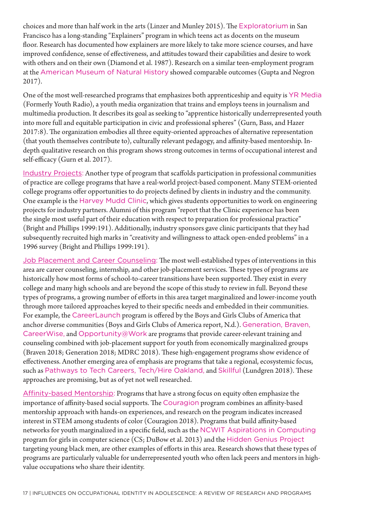choices and more than half work in the arts (Linzer and Munley 2015). The Exploratorium in San Francisco has a long-standing "Explainers" program in which teens act as docents on the museum floor. Research has documented how explainers are more likely to take more science courses, and have improved confidence, sense of effectiveness, and attitudes toward their capabilities and desire to work with others and on their own (Diamond et al. 1987). Research on a similar teen-employment program at the American Museum of Natural History showed comparable outcomes (Gupta and Negron 2017).

One of the most well-researched programs that emphasizes both apprenticeship and equity is YR Media (Formerly Youth Radio), a youth media organization that trains and employs teens in journalism and multimedia production. It describes its goal as seeking to "apprentice historically underrepresented youth into more full and equitable participation in civic and professional spheres" (Gurn, Bass, and Hazer 2017:8). The organization embodies all three equity-oriented approaches of alternative representation (that youth themselves contribute to), culturally relevant pedagogy, and affinity-based mentorship. Indepth qualitative research on this program shows strong outcomes in terms of occupational interest and self-efficacy (Gurn et al. 2017).

Industry Projects: Another type of program that scaffolds participation in professional communities of practice are college programs that have a real-world project-based component. Many STEM-oriented college programs offer opportunities to do projects defined by clients in industry and the community. One example is the Harvey Mudd Clinic, which gives students opportunities to work on engineering projects for industry partners. Alumni of this program "report that the Clinic experience has been the single most useful part of their education with respect to preparation for professional practice" (Bright and Phillips 1999:191). Additionally, industry sponsors gave clinic participants that they had subsequently recruited high marks in "creativity and willingness to attack open-ended problems" in a 1996 survey (Bright and Phillips 1999:191).

Job Placement and Career Counseling: The most well-established types of interventions in this area are career counseling, internship, and other job-placement services. These types of programs are historically how most forms of school-to-career transitions have been supported. They exist in every college and many high schools and are beyond the scope of this study to review in full. Beyond these types of programs, a growing number of efforts in this area target marginalized and lower-income youth through more tailored approaches keyed to their specific needs and embedded in their communities. For example, the CareerLaunch program is offered by the Boys and Girls Clubs of America that anchor diverse communities (Boys and Girls Clubs of America report, N.d.). Generation, Braven, CareerWise, and Opportunity@Work are programs that provide career-relevant training and counseling combined with job-placement support for youth from economically marginalized groups (Braven 2018; Generation 2018; MDRC 2018). These high-engagement programs show evidence of effectiveness. Another emerging area of emphasis are programs that take a regional, ecosystemic focus, such as Pathways to Tech Careers, Tech/Hire Oakland, and Skillful (Lundgren 2018). These approaches are promising, but as of yet not well researched.

Affinity-based Mentorship: Programs that have a strong focus on equity often emphasize the importance of affinity-based social supports. The Couragion program combines an affinity-based mentorship approach with hands-on experiences, and research on the program indicates increased interest in STEM among students of color (Couragion 2018). Programs that build affinity-based networks for youth marginalized in a specific field, such as the NCWIT Aspirations in Computing program for girls in computer science (CS; DuBow et al. 2013) and the Hidden Genius Project targeting young black men, are other examples of efforts in this area. Research shows that these types of programs are particularly valuable for underrepresented youth who often lack peers and mentors in highvalue occupations who share their identity.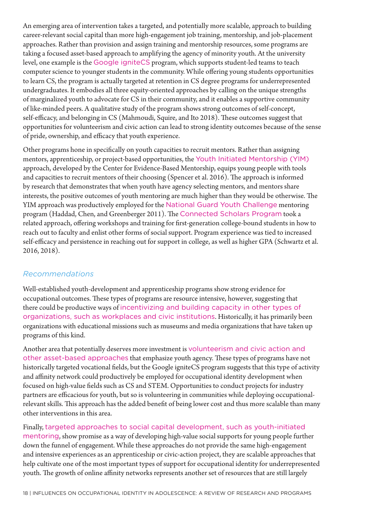An emerging area of intervention takes a targeted, and potentially more scalable, approach to building career-relevant social capital than more high-engagement job training, mentorship, and job-placement approaches. Rather than provision and assign training and mentorship resources, some programs are taking a focused asset-based approach to amplifying the agency of minority youth. At the university level, one example is the Google igniteCS program, which supports student-led teams to teach computer science to younger students in the community. While offering young students opportunities to learn CS, the program is actually targeted at retention in CS degree programs for underrepresented undergraduates. It embodies all three equity-oriented approaches by calling on the unique strengths of marginalized youth to advocate for CS in their community, and it enables a supportive community of like-minded peers. A qualitative study of the program shows strong outcomes of self-concept, self-efficacy, and belonging in CS (Mahmoudi, Squire, and Ito 2018). These outcomes suggest that opportunities for volunteerism and civic action can lead to strong identity outcomes because of the sense of pride, ownership, and efficacy that youth experience.

Other programs hone in specifically on youth capacities to recruit mentors. Rather than assigning mentors, apprenticeship, or project-based opportunities, the Youth Initiated Mentorship (YIM) approach, developed by the Center for Evidence-Based Mentorship, equips young people with tools and capacities to recruit mentors of their choosing (Spencer et al. 2016). The approach is informed by research that demonstrates that when youth have agency selecting mentors, and mentors share interests, the positive outcomes of youth mentoring are much higher than they would be otherwise. The YIM approach was productively employed for the National Guard Youth Challenge mentoring program (Haddad, Chen, and Greenberger 2011). The Connected Scholars Program took a related approach, offering workshops and training for first-generation college-bound students in how to reach out to faculty and enlist other forms of social support. Program experience was tied to increased self-efficacy and persistence in reaching out for support in college, as well as higher GPA (Schwartz et al. 2016, 2018).

#### *Recommendations*

Well-established youth-development and apprenticeship programs show strong evidence for occupational outcomes. These types of programs are resource intensive, however, suggesting that there could be productive ways of incentivizing and building capacity in other types of organizations, such as workplaces and civic institutions. Historically, it has primarily been organizations with educational missions such as museums and media organizations that have taken up programs of this kind.

Another area that potentially deserves more investment is volunteerism and civic action and other asset-based approaches that emphasize youth agency. These types of programs have not historically targeted vocational fields, but the Google igniteCS program suggests that this type of activity and affinity network could productively be employed for occupational identity development when focused on high-value fields such as CS and STEM. Opportunities to conduct projects for industry partners are efficacious for youth, but so is volunteering in communities while deploying occupationalrelevant skills. This approach has the added benefit of being lower cost and thus more scalable than many other interventions in this area.

Finally, targeted approaches to social capital development, such as youth-initiated mentoring, show promise as a way of developing high-value social supports for young people further down the funnel of engagement. While these approaches do not provide the same high-engagement and intensive experiences as an apprenticeship or civic-action project, they are scalable approaches that help cultivate one of the most important types of support for occupational identity for underrepresented youth. The growth of online affinity networks represents another set of resources that are still largely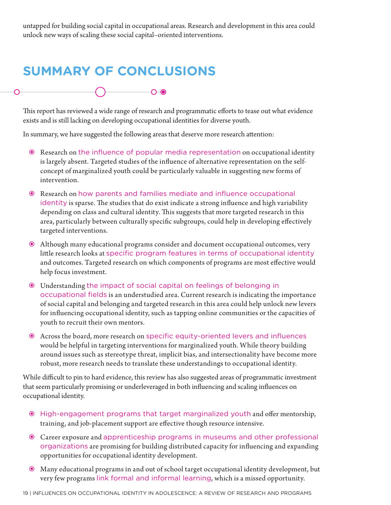untapped for building social capital in occupational areas. Research and development in this area could unlock new ways of scaling these social capital–oriented interventions.

## **SUMMARY OF CONCLUSIONS**

This report has reviewed a wide range of research and programmatic efforts to tease out what evidence exists and is still lacking on developing occupational identities for diverse youth.

In summary, we have suggested the following areas that deserve more research attention:

 $-O$ -0

- Research on the influence of popular media representation on occupational identity is largely absent. Targeted studies of the influence of alternative representation on the selfconcept of marginalized youth could be particularly valuable in suggesting new forms of intervention.
- Research on how parents and families mediate and influence occupational identity is sparse. The studies that do exist indicate a strong influence and high variability depending on class and cultural identity. This suggests that more targeted research in this area, particularly between culturally specific subgroups, could help in developing effectively targeted interventions.
- Although many educational programs consider and document occupational outcomes, very little research looks at specific program features in terms of occupational identity and outcomes. Targeted research on which components of programs are most effective would help focus investment.
- Understanding the impact of social capital on feelings of belonging in occupational fields is an understudied area. Current research is indicating the importance of social capital and belonging and targeted research in this area could help unlock new levers for influencing occupational identity, such as tapping online communities or the capacities of youth to recruit their own mentors.
- Across the board, more research on specific equity-oriented levers and influences would be helpful in targeting interventions for marginalized youth. While theory building around issues such as stereotype threat, implicit bias, and intersectionality have become more robust, more research needs to translate these understandings to occupational identity.

While difficult to pin to hard evidence, this review has also suggested areas of programmatic investment that seem particularly promising or underleveraged in both influencing and scaling influences on occupational identity.

- High-engagement programs that target marginalized youth and offer mentorship, training, and job-placement support are effective though resource intensive.
- Career exposure and apprenticeship programs in museums and other professional organizations are promising for building distributed capacity for influencing and expanding opportunities for occupational identity development.
- Many educational programs in and out of school target occupational identity development, but very few programs link formal and informal learning, which is a missed opportunity.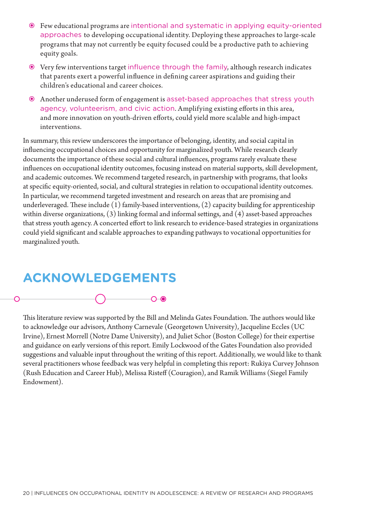- Few educational programs are intentional and systematic in applying equity-oriented approaches to developing occupational identity. Deploying these approaches to large-scale programs that may not currently be equity focused could be a productive path to achieving equity goals.
- Very few interventions target influence through the family, although research indicates that parents exert a powerful influence in defining career aspirations and guiding their children's educational and career choices.
- Another underused form of engagement is asset-based approaches that stress youth agency, volunteerism, and civic action. Amplifying existing efforts in this area, and more innovation on youth-driven efforts, could yield more scalable and high-impact interventions.

In summary, this review underscores the importance of belonging, identity, and social capital in influencing occupational choices and opportunity for marginalized youth. While research clearly documents the importance of these social and cultural influences, programs rarely evaluate these influences on occupational identity outcomes, focusing instead on material supports, skill development, and academic outcomes. We recommend targeted research, in partnership with programs, that looks at specific equity-oriented, social, and cultural strategies in relation to occupational identity outcomes. In particular, we recommend targeted investment and research on areas that are promising and underleveraged. These include (1) family-based interventions, (2) capacity building for apprenticeship within diverse organizations, (3) linking formal and informal settings, and (4) asset-based approaches that stress youth agency. A concerted effort to link research to evidence-based strategies in organizations could yield significant and scalable approaches to expanding pathways to vocational opportunities for marginalized youth.

### **ACKNOWLEDGEMENTS**



This literature review was supported by the Bill and Melinda Gates Foundation. The authors would like to acknowledge our advisors, Anthony Carnevale (Georgetown University), Jacqueline Eccles (UC Irvine), Ernest Morrell (Notre Dame University), and Juliet Schor (Boston College) for their expertise and guidance on early versions of this report. Emily Lockwood of the Gates Foundation also provided suggestions and valuable input throughout the writing of this report. Additionally, we would like to thank several practitioners whose feedback was very helpful in completing this report: Rukiya Curvey Johnson (Rush Education and Career Hub), Melissa Risteff (Couragion), and Ramik Williams (Siegel Family Endowment).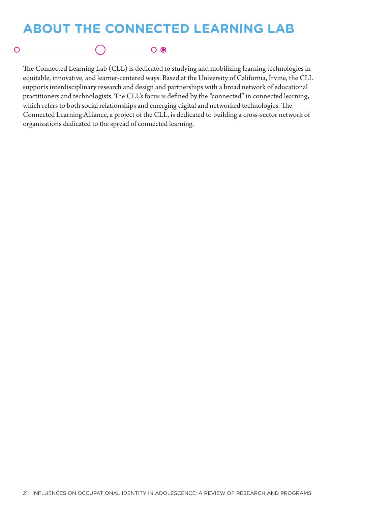## **ABOUT THE CONNECTED LEARNING LAB**

 $\overline{\phantom{0}}$ 

The Connected Learning Lab (CLL) is dedicated to studying and mobilizing learning technologies in equitable, innovative, and learner-centered ways. Based at the University of California, Irvine, the CLL supports interdisciplinary research and design and partnerships with a broad network of educational practitioners and technologists. The CLL's focus is defined by the "connected" in connected learning, which refers to both social relationships and emerging digital and networked technologies. The Connected Learning Alliance, a project of the CLL, is dedicated to building a cross-sector network of organizations dedicated to the spread of connected learning.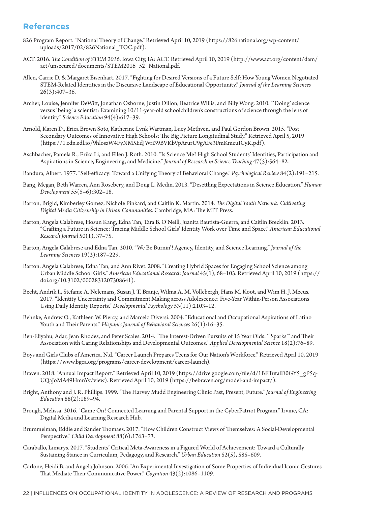#### **References**

- 826 Program Report. "National Theory of Change." Retrieved April 10, 2019 (https://826national.org/wp-content/ uploads/2017/02/826National\_TOC.pdf).
- ACT. 2016. *The Condition of STEM 2016*. Iowa City, IA: ACT. Retrieved April 10, 2019 (http://www.act.org/content/dam/ act/unsecured/documents/STEM2016\_52\_National.pdf.
- Allen, Carrie D. & Margaret Eisenhart. 2017. "Fighting for Desired Versions of a Future Self: How Young Women Negotiated STEM-Related Identities in the Discursive Landscape of Educational Opportunity." *Journal of the Learning Sciences*  $26(3):407-36.$
- Archer, Louise, Jennifer DeWitt, Jonathan Osborne, Justin Dillon, Beatrice Willis, and Billy Wong. 2010. "'Doing' science versus 'being' a scientist: Examining 10/11-year-old schoolchildren's constructions of science through the lens of identity." *Science Education* 94(4):617–39.
- Arnold, Karen D., Erica Brown Soto, Katherine Lynk Wartman, Lucy Methven, and Paul Gordon Brown. 2015. "Post Secondary Outcomes of Innovative High Schools: The Big Picture Longitudinal Study." Retrieved April 5, 2019 (https://1.cdn.edl.io/9hloszW4FyNM5EdJWri39BVKbVpArurU9gAFe3FmKmcuICyK.pdf).
- Aschbacher, Pamela R., Erika Li, and Ellen J. Roth. 2010. "Is Science Me? High School Students' Identities, Participation and Aspirations in Science, Engineering, and Medicine." *Journal of Research in Science Teaching* 47(5):564–82.
- Bandura, Albert. 1977. "Self-efficacy: Toward a Unifying Theory of Behavioral Change." *Psychological Review* 84(2):191–215.
- Bang, Megan, Beth Warren, Ann Rosebery, and Doug L. Medin. 2013. "Desettling Expectations in Science Education." *Human Development* 55(5–6):302–18.
- Barron, Brigid, Kimberley Gomez, Nichole Pinkard, and Caitlin K. Martin. 2014. *The Digital Youth Network: Cultivating Digital Media Citizenship in Urban Communities.* Cambridge, MA: The MIT Press.
- Barton, Angela Calabrese, Hosun Kang, Edna Tan, Tara B. O'Neill, Juanita Bautista-Guerra, and Caitlin Brecklin. 2013. "Crafting a Future in Science: Tracing Middle School Girls' Identity Work over Time and Space." *American Educational Research Journal* 50(1), 37–75.
- Barton, Angela Calabrese and Edna Tan. 2010. "We Be Burnin'! Agency, Identity, and Science Learning." *Journal of the Learning Sciences* 19(2):187–229.
- Barton, Angela Calabrese, Edna Tan, and Ann Rivet. 2008. "Creating Hybrid Spaces for Engaging School Science among Urban Middle School Girls." *American Educational Research Journal* 45(1), 68–103. Retrieved April 10, 2019 (https:// doi.org/10.3102/0002831207308641).
- Becht, Andrik I., Stefanie A. Nelemans, Susan J. T. Branje, Wilma A. M. Vollebergh, Hans M. Koot, and Wim H. J. Meeus. 2017. "Identity Uncertainty and Commitment Making across Adolescence: Five-Year Within-Person Associations Using Daily Identity Reports." *Developmental Psychology* 53(11):2103–12.
- Behnke, Andrew O., Kathleen W. Piercy, and Marcelo Diversi. 2004. "Educational and Occupational Aspirations of Latino Youth and Their Parents." *Hispanic Journal of Behavioral Sciences* 26(1):16–35.
- Ben-Eliyahu, Adar, Jean Rhodes, and Peter Scales. 2014. "The Interest-Driven Pursuits of 15 Year Olds: '"Sparks"' and Their Association with Caring Relationships and Developmental Outcomes." *Applied Developmental Science* 18(2):76–89.
- Boys and Girls Clubs of America. N.d. "Career Launch Prepares Teens for Our Nation's Workforce." Retrieved April 10, 2019 (https://www.bgca.org/programs/career-development/career-launch).
- Braven. 2018. "Annual Impact Report." Retrieved April 10, 2019 (https://drive.google.com/file/d/1BETutalD0GY5\_gP5q-UQaJoMA49HmnYv/view). Retrieved April 10, 2019 (https://bebraven.org/model-and-impact/).
- Bright, Anthony and J. R. Phillips. 1999. "The Harvey Mudd Engineering Clinic Past, Present, Future." *Journal of Engineering Education* 88(2):189–94.
- Brough, Melissa. 2016. "Game On! Connected Learning and Parental Support in the CyberPatriot Program." Irvine, CA: Digital Media and Learning Research Hub.
- Brummelman, Eddie and Sander Thomaes. 2017. "How Children Construct Views of Themselves: A Social-Developmental Perspective." *Child Development* 88(6):1763–73.
- Caraballo, Limarys. 2017. "Students' Critical Meta-Awareness in a Figured World of Achievement: Toward a Culturally Sustaining Stance in Curriculum, Pedagogy, and Research." *Urban Education* 52(5), 585–609.
- Carlone, Heidi B. and Angela Johnson. 2006. "An Experimental Investigation of Some Properties of Individual Iconic Gestures That Mediate Their Communicative Power." *Cognition* 43(2):1086–1109.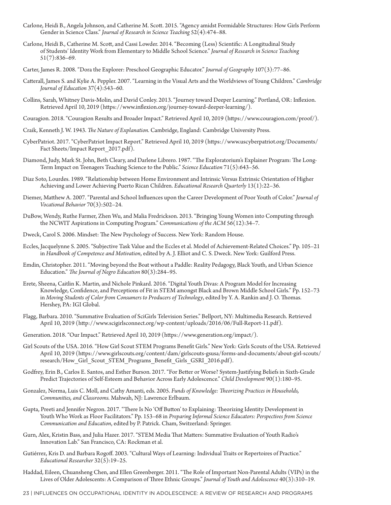- Carlone, Heidi B., Angela Johnson, and Catherine M. Scott. 2015. "Agency amidst Formidable Structures: How Girls Perform Gender in Science Class." *Journal of Research in Science Teaching* 52(4):474–88.
- Carlone, Heidi B., Catherine M. Scott, and Cassi Lowder. 2014. "Becoming (Less) Scientific: A Longitudinal Study of Students' Identity Work from Elementary to Middle School Science." *Journal of Research in Science Teaching* 51(7):836–69.
- Carter, James R. 2008. "Dora the Explorer: Preschool Geographic Educator." *Journal of Geography* 107(3):77–86.
- Catterall, James S. and Kylie A. Peppler. 2007. "Learning in the Visual Arts and the Worldviews of Young Children." *Cambridge Journal of Education* 37(4):543–60.
- Collins, Sarah, Whitney Davis-Molin, and David Conley. 2013. "Journey toward Deeper Learning." Portland, OR: Inflexion. Retrieved April 10, 2019 (https://www.inflexion.org/journey-toward-deeper-learning/).
- Couragion. 2018. "Couragion Results and Broader Impact." Retrieved April 10, 2019 (https://www.couragion.com/proof/).
- Craik, Kenneth J. W. 1943. *The Nature of Explanation.* Cambridge, England: Cambridge University Press.
- CyberPatriot. 2017. "CyberPatriot Impact Report." Retrieved April 10, 2019 (https://www.uscyberpatriot.org/Documents/ Fact Sheets/Impact Report 2017.pdf).
- Diamond, Judy, Mark St. John, Beth Cleary, and Darlene Librero. 1987. "The Exploratorium's Explainer Program: The Long-Term Impact on Teenagers Teaching Science to the Public." *Science Education* 71(5):643–56.
- Diaz Soto, Lourdes. 1989. "Relationship between Home Environment and Intrinsic Versus Extrinsic Orientation of Higher Achieving and Lower Achieving Puerto Rican Children. *Educational Research Quarterly* 13(1):22–36.
- Diemer, Matthew A. 2007. "Parental and School Influences upon the Career Development of Poor Youth of Color." *Journal of Vocational Behavior* 70(3):502–24.
- DuBow, Wendy, Ruthe Farmer, Zhen Wu, and Malia Fredrickson. 2013. "Bringing Young Women into Computing through the NCWIT Aspirations in Computing Program." *Communications of the ACM* 56(12):34–7.
- Dweck, Carol S. 2006. Mindset: The New Psychology of Success. New York: Random House.
- Eccles, Jacquelynne S. 2005. "Subjective Task Value and the Eccles et al. Model of Achievement-Related Choices." Pp. 105–21 in *Handbook of Competence and Motivation*, edited by A. J. Elliot and C. S. Dweck. New York: Guilford Press.
- Emdin, Christopher. 2011. "Moving beyond the Boat without a Paddle: Reality Pedagogy, Black Youth, and Urban Science Education." *The Journal of Negro Education* 80(3):284–95.
- Erete, Sheena, Caitlin K. Martin, and Nichole Pinkard. 2016. "Digital Youth Divas: A Program Model for Increasing Knowledge, Confidence, and Perceptions of Fit in STEM amongst Black and Brown Middle School Girls." Pp. 152–73 in *Moving Students of Color from Consumers to Producers of Technology*, edited by Y. A. Rankin and J. O. Thomas. Hershey, PA: IGI Global.
- Flagg, Barbara. 2010. "Summative Evaluation of SciGirls Television Series." Bellport, NY: Multimedia Research. Retrieved April 10, 2019 (http://www.scigirlsconnect.org/wp-content/uploads/2016/06/Full-Report-11.pdf).
- Generation. 2018. "Our Impact." Retrieved April 10, 2019 (https://www.generation.org/impact/).
- Girl Scouts of the USA. 2016. "How Girl Scout STEM Programs Benefit Girls." New York: Girls Scouts of the USA. Retrieved April 10, 2019 (https://www.girlscouts.org/content/dam/girlscouts-gsusa/forms-and-documents/about-girl-scouts/ research/How\_Girl\_Scout\_STEM\_Programs\_Benefit\_Girls\_GSRI\_2016.pdf).
- Godfrey, Erin B., Carlos E. Santos, and Esther Burson. 2017. "For Better or Worse? System-Justifying Beliefs in Sixth-Grade Predict Trajectories of Self-Esteem and Behavior Across Early Adolescence." *Child Development* 90(1):180–95.
- Gonzalez, Norma, Luis C. Moll, and Cathy Amanti, eds. 2005. *Funds of Knowledge: Theorizing Practices in Households, Communities, and Classrooms.* Mahwah, NJ: Lawrence Erlbaum.
- Gupta, Preeti and Jennifer Negron. 2017. "There Is No 'Off Button' to Explaining: Theorizing Identity Development in Youth Who Work as Floor Facilitators." Pp. 153–68 in *Preparing Informal Science Educators: Perspectives from Science Communication and Education*, edited by P. Patrick. Cham, Switzerland: Springer.
- Gurn, Alex, Kristin Bass, and Julia Hazer. 2017. "STEM Media That Matters: Summative Evaluation of Youth Radio's Innovation Lab." San Francisco, CA: Rockman et al.
- Gutiérrez, Kris D. and Barbara Rogoff. 2003. "Cultural Ways of Learning: Individual Traits or Repertoires of Practice." *Educational Researcher* 32(5):19–25.
- Haddad, Eileen, Chuansheng Chen, and Ellen Greenberger. 2011. "The Role of Important Non-Parental Adults (VIPs) in the Lives of Older Adolescents: A Comparison of Three Ethnic Groups." *Journal of Youth and Adolescence* 40(3):310–19.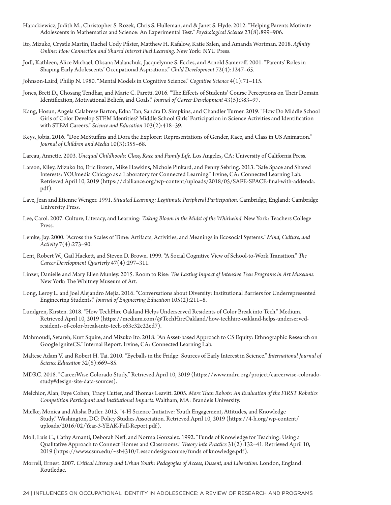- Harackiewicz, Judith M., Christopher S. Rozek, Chris S. Hulleman, and & Janet S. Hyde. 2012. "Helping Parents Motivate Adolescents in Mathematics and Science: An Experimental Test." *Psychological Science* 23(8):899–906.
- Ito, Mizuko, Crystle Martin, Rachel Cody Pfister, Matthew H. Rafalow, Katie Salen, and Amanda Wortman. 2018. *Affinity Online: How Connection and Shared Interest Fuel Learning*. New York: NYU Press.
- Jodl, Kathleen, Alice Michael, Oksana Malanchuk, Jacquelynne S. Eccles, and Arnold Sameroff. 2001. "Parents' Roles in Shaping Early Adolescents' Occupational Aspirations." *Child Development* 72(4):1247–65.
- Johnson-Laird, Philip N. 1980. "Mental Models in Cognitive Science." *Cognitive Science* 4(1):71–115.
- Jones, Brett D., Chosang Tendhar, and Marie C. Paretti. 2016. "The Effects of Students' Course Perceptions on Their Domain Identification, Motivational Beliefs, and Goals." *Journal of Career Development* 43(5):383–97.
- Kang, Hosun, Angela Calabrese Barton, Edna Tan, Sandra D. Simpkins, and Chandler Turner. 2019. "How Do Middle School Girls of Color Develop STEM Identities? Middle School Girls' Participation in Science Activities and Identification with STEM Careers." *Science and Education* 103(2):418–39.
- Keys, Jobia. 2016. "Doc McStuffins and Dora the Explorer: Representations of Gender, Race, and Class in US Animation." *Journal of Children and Media* 10(3):355–68.
- Lareau, Annette. 2003. *Unequal Childhoods: Class, Race and Family Life*. Los Angeles, CA: University of California Press.
- Larson, Kiley, Mizuko Ito, Eric Brown, Mike Hawkins, Nichole Pinkard, and Penny Sebring. 2013. "Safe Space and Shared Interests: YOUmedia Chicago as a Laboratory for Connected Learning." Irvine, CA: Connected Learning Lab. Retrieved April 10, 2019 (https://clalliance.org/wp-content/uploads/2018/05/SAFE-SPACE-final-with-addenda. pdf).
- Lave, Jean and Etienne Wenger. 1991. *Situated Learning: Legitimate Peripheral Participation.* Cambridge, England: Cambridge University Press.
- Lee, Carol. 2007. Culture, Literacy, and Learning: *Taking Bloom in the Midst of the Whirlwind.* New York: Teachers College Press.
- Lemke, Jay. 2000. "Across the Scales of Time: Artifacts, Activities, and Meanings in Ecosocial Systems." *Mind, Culture, and Activity* 7(4):273–90.
- Lent, Robert W., Gail Hackett, and Steven D. Brown. 1999. "A Social Cognitive View of School-to-Work Transition." *The Career Development Quarterly* 47(4):297–311.
- Linzer, Danielle and Mary Ellen Munley. 2015. Room to Rise: *The Lasting Impact of Intensive Teen Programs in Art Museums.* New York: The Whitney Museum of Art.
- Long, Leroy L. and Joel Alejandro Mejia. 2016. "Conversations about Diversity: Institutional Barriers for Underrepresented Engineering Students." *Journal of Engineering Education* 105(2):211–8.
- Lundgren, Kirsten. 2018. "How TechHire Oakland Helps Underserved Residents of Color Break into Tech." Medium. Retrieved April 10, 2019 (https://medium.com/@TechHireOakland/how-techhire-oakland-helps-underservedresidents-of-color-break-into-tech-c63e32e22ed7).
- Mahmoudi, Setareh, Kurt Squire, and Mizuko Ito. 2018. "An Asset-based Approach to CS Equity: Ethnographic Research on Google igniteCS." Internal Report. Irvine, CA: Connected Learning Lab.
- Maltese Adam V. and Robert H. Tai. 2010. "Eyeballs in the Fridge: Sources of Early Interest in Science." *International Journal of Science Education* 32(5):669–85.
- MDRC. 2018. "CareerWise Colorado Study." Retrieved April 10, 2019 (https://www.mdrc.org/project/careerwise-coloradostudy#design-site-data-sources).
- Melchior, Alan, Faye Cohen, Tracy Cutter, and Thomas Leavitt. 2005. *More Than Robots: An Evaluation of the FIRST Robotics Competition Participant and Institutional Impacts.* Waltham, MA: Brandeis University.
- Mielke, Monica and Alisha Butler. 2013. "4-H Science Initiative: Youth Engagement, Attitudes, and Knowledge Study." Washington, DC: Policy Studies Association. Retrieved April 10, 2019 (https://4-h.org/wp-content/ uploads/2016/02/Year-3-YEAK-Full-Report.pdf).
- Moll, Luis C., Cathy Amanti, Deborah Neff, and Norma Gonzalez. 1992. "Funds of Knowledge for Teaching: Using a Qualitative Approach to Connect Homes and Classrooms." *Theory into Practice* 31(2):132–41. Retrieved April 10, 2019 (https://www.csun.edu/~sb4310/Lessondesigncourse/funds of knowledge.pdf).
- Morrell, Ernest. 2007. *Critical Literacy and Urban Youth: Pedagogies of Access, Dissent, and Liberation.* London, England: Routledge.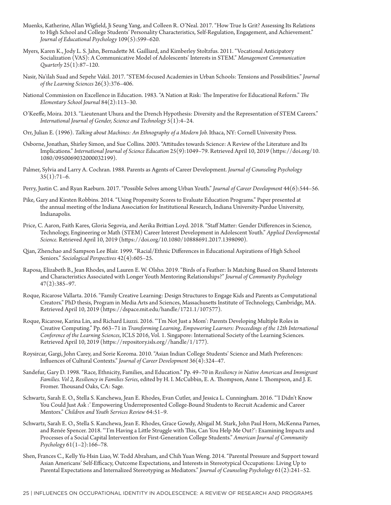- Muenks, Katherine, Allan Wigfield, Ji Seung Yang, and Colleen R. O'Neal. 2017. "How True Is Grit? Assessing Its Relations to High School and College Students' Personality Characteristics, Self-Regulation, Engagement, and Achievement." *Journal of Educational Psychology* 109(5):599–620.
- Myers, Karen K., Jody L. S. Jahn, Bernadette M. Gailliard, and Kimberley Stoltzfus. 2011. "Vocational Anticipatory Socialization (VAS): A Communicative Model of Adolescents' Interests in STEM." *Management Communication Quarterly* 25(1):87–120.
- Nasir, Na'ilah Suad and Sepehr Vakil. 2017. "STEM-focused Academies in Urban Schools: Tensions and Possibilities." *Journal of the Learning Sciences* 26(3):376–406.
- National Commission on Excellence in Education. 1983. "A Nation at Risk: The Imperative for Educational Reform." *The Elementary School Journal* 84(2):113–30.
- O'Keeffe, Moira. 2013. "Lieutenant Uhura and the Drench Hypothesis: Diversity and the Representation of STEM Careers." *International Journal of Gender, Science and Technology* 5(1):4–24.
- Orr, Julian E. (1996). *Talking about Machines: An Ethnography of a Modern Job.* Ithaca, NY: Cornell University Press.
- Osborne, Jonathan, Shirley Simon, and Sue Collins. 2003. "Attitudes towards Science: A Review of the Literature and Its Implications." *International Journal of Science Education* 25(9):1049–79. Retrieved April 10, 2019 (https://doi.org/10. 1080/0950069032000032199).
- Palmer, Sylvia and Larry A. Cochran. 1988. Parents as Agents of Career Development. *Journal of Counseling Psychology*  $35(1):71-6.$
- Perry, Justin C. and Ryan Raeburn. 2017. "Possible Selves among Urban Youth." *Journal of Career Development* 44(6):544–56.
- Pike, Gary and Kirsten Robbins. 2014. "Using Propensity Scores to Evaluate Education Programs." Paper presented at the annual meeting of the Indiana Association for Institutional Research, Indiana University-Purdue University, Indianapolis.
- Price, C. Aaron, Faith Kares, Gloria Segovia, and Aerika Brittian Loyd. 2018. "Staff Matter: Gender Differences in Science, Technology, Engineering or Math (STEM) Career Interest Development in Adolescent Youth." *Applied Developmental Science.* Retrieved April 10, 2019 (https://doi.org/10.1080/10888691.2017.1398090).
- Qian, Zhenchao and Sampson Lee Blair. 1999. "Racial/Ethnic Differences in Educational Aspirations of High School Seniors." *Sociological Perspectives* 42(4):605–25.
- Raposa, Elizabeth B., Jean Rhodes, and Lauren E. W. Olsho. 2019. "Birds of a Feather: Is Matching Based on Shared Interests and Characteristics Associated with Longer Youth Mentoring Relationships?" *Journal of Community Psychology* 47(2):385–97.
- Roque, Ricarose Vallarta. 2016. "Family Creative Learning: Design Structures to Engage Kids and Parents as Computational Creators." PhD thesis, Program in Media Arts and Sciences, Massachusetts Institute of Technology, Cambridge, MA. Retrieved April 10, 2019 (https://dspace.mit.edu/handle/1721.1/107577).
- Roque, Ricarose, Karina Lin, and Richard Liuzzi. 2016. "'I'm Not Just a Mom': Parents Developing Multiple Roles in Creative Computing." Pp. 663–71 in *Transforming Learning, Empowering Learners: Proceedings of the 12th International Conference of the Learning Sciences*, ICLS 2016, Vol. 1. Singapore: International Society of the Learning Sciences. Retrieved April 10, 2019 (https://repository.isls.org//handle/1/177).
- Roysircar, Gargi, John Carey, and Sorie Koroma. 2010. "Asian Indian College Students' Science and Math Preferences: Influences of Cultural Contexts." *Journal of Career Development* 36(4):324–47.
- Sandefur, Gary D. 1998. "Race, Ethnicity, Families, and Education." Pp. 49–70 in *Resiliency in Native American and Immigrant Families. Vol 2, Resiliency in Families Series*, edited by H. I. McCubbin, E. A. Thompson, Anne I. Thompson, and J. E. Fromer. Thousand Oaks, CA: Sage.
- Schwartz, Sarah E. O., Stella S. Kanchewa, Jean E. Rhodes, Evan Cutler, and Jessica L. Cunningham. 2016. "'I Didn't Know You Could Just Ask :' Empowering Underrepresented College-Bound Students to Recruit Academic and Career Mentors." *Children and Youth Services Review* 64:51–9.
- Schwartz, Sarah E. O., Stella S. Kanchewa, Jean E. Rhodes, Grace Gowdy, Abigail M. Stark, John Paul Horn, McKenna Parnes, and Renée Spencer. 2018. "'I'm Having a Little Struggle with This, Can You Help Me Out?': Examining Impacts and Processes of a Social Capital Intervention for First-Generation College Students." *American Journal of Community Psychology* 61(1–2):166–78.
- Shen, Frances C., Kelly Yu-Hsin Liao, W. Todd Abraham, and Chih Yuan Weng. 2014. "Parental Pressure and Support toward Asian Americans' Self-Efficacy, Outcome Expectations, and Interests in Stereotypical Occupations: Living Up to Parental Expectations and Internalized Stereotyping as Mediators." *Journal of Counseling Psychology* 61(2):241–52.